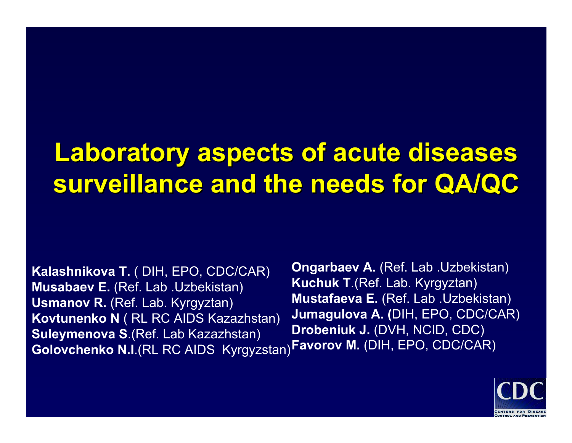# Laboratory aspects of acute diseases **surveillance and the needs for QA/QC surveillance and the needs for QA/QC**

**Kalashnikova T.** ( DIH, EPO, CDC/CAR) **Musabaev E.** (Ref. Lab .Uzbekistan) **Usman o v R.** (Ref. Lab. Kyrgyztan) **Kovtunenko N** ( RL RC AIDS Kazazhstan) **Suleymenova S**.(Ref. Lab Kazazhstan) **Golovchenko N.I**.(RL RC AIDS Kyrgyzstan) **Favorov M.** (DIH, EPO, CDC/CAR)

**Ongarbaev A.** (Ref. Lab .Uzbekistan) **Kuchuk T**.(Ref. Lab. Kyrgyztan) **Mustafaeva E.** (Ref. Lab .Uzbekistan) **Jumagulova A. (**DIH, EPO, CDC/CAR) **Drobeniuk J.** (DVH, NCID, CDC)

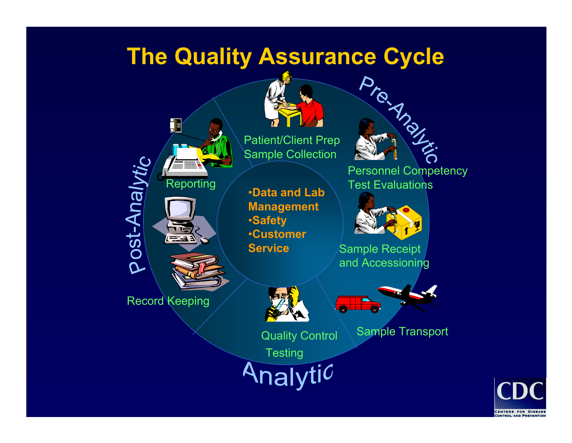### **The Quality Assurance Cycle**



Patient/Client Prep Sample Collection

•**Data and Lab Management** •**Safety** •**Customer Service**

Pro Angli

Personnel Competency Test Evaluations



Sample Receipt and Accessioning



**Testing** 

nalyti $\mathcal C$ 

Quality Control \ Sample Transport

 $\blacksquare$ **CENTERS FOR DISEASE**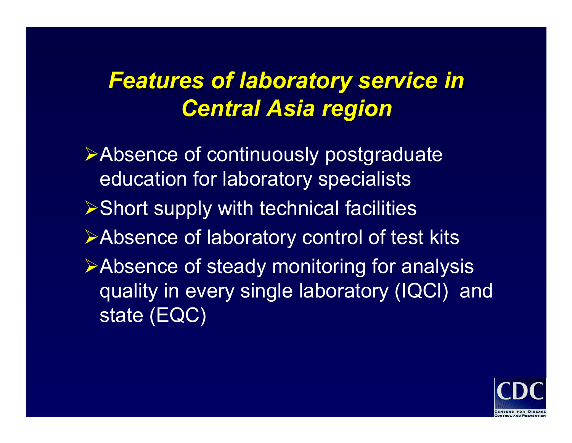## **Features of laboratory service in** *Central Asia region Central Asia region*

¾Absence of continuously postgraduate education for laboratory specialists ¾Short supply with technical facilities ¾Absence of laboratory control of test kits ¾Absence of steady monitoring for analysis quality in every single laboratory (IQCl) and state (EQC)

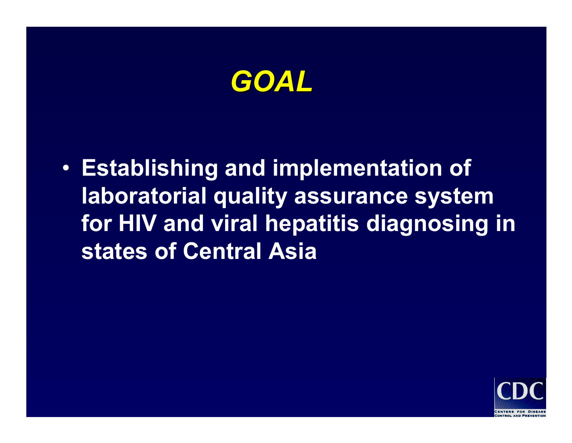

• **Establishing and implementation of laboratorial quality assurance system for HIV and viral hepatitis diagnosing in states of Central Asia**

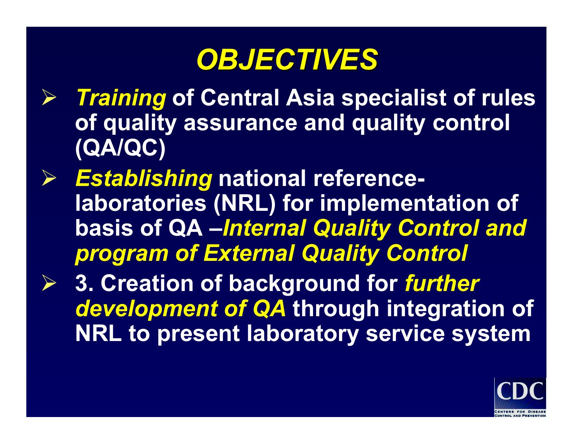# *OBJECTIVES OBJECTIVES*

- ¾ *Training* **of Central Asia specialist of rules of quality assurance and quality control (QA/QC)**
- ¾ *Establishing* **national referencelaboratories (NRL) for implementation of basis of QA –***Internal Quality Control and program of External Quality Control*
- ¾ **3. Creation of background for** *further development of QA* **through integration of NRL to present laboratory service system**

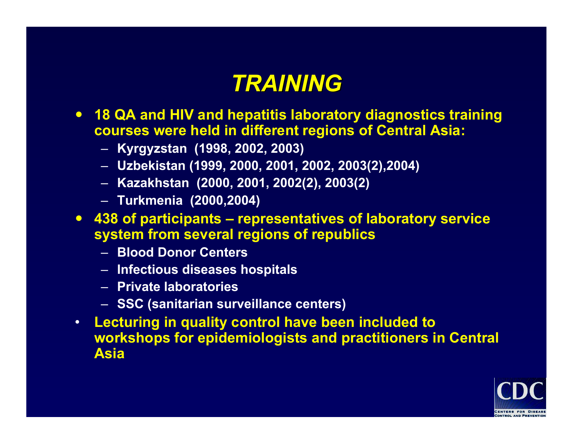### *TRAINING TRAINING*

- y **18 QA and HIV and hepatitis laboratory diagnostics training courses were held in different regions of Central Asia:**
	- **Kyrgyzstan (1998, 2002, 2003)**
	- **Uzbekistan (1999, 2000, 2001, 2002, 2003(2),2004)**
	- **Kazakhstan (2000, 2001, 2002(2), 2003(2)**
	- **Turkmenia (2000,2004)**
- y **438 of participants – representatives of laboratory service system from several regions of republics**
	- **Blood Donor Centers**
	- **Infectious diseases hospitals**
	- **Private laboratories**
	- **SSC (sanitarian surveillance centers)**
- **Lecturing in quality control have been included to workshops for epidemiologists and practitioners in Central Asia**

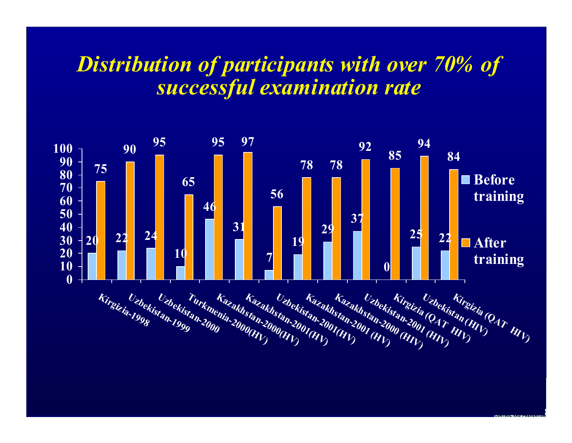#### *Distribution of participants with over 70% of successful examination rate*

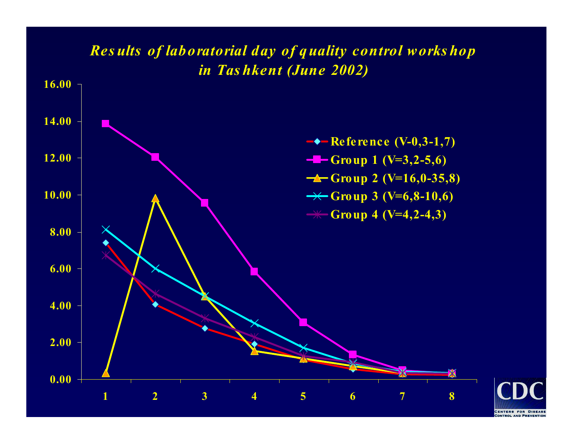#### *Res ults of laboratorial day of quality control works hop in Tas hkent (June 2002)*



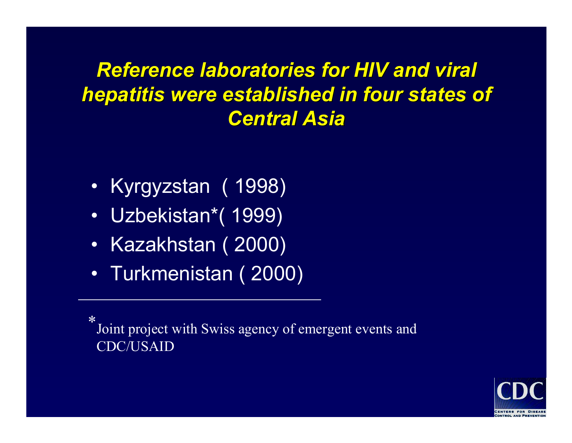#### **Reference laboratories for HIV and viral** *hepatitis were established in four states of hepatitis were established in four states of Central Asia Central Asia*

- Kyrgyzstan ( 1998)
- Uzbekistan\*( 1999)
- Kazakhstan ( 2000)
- Turkmenistan ( 2000)

\*Joint project with Swiss agency of emergent events and CDC/USAID

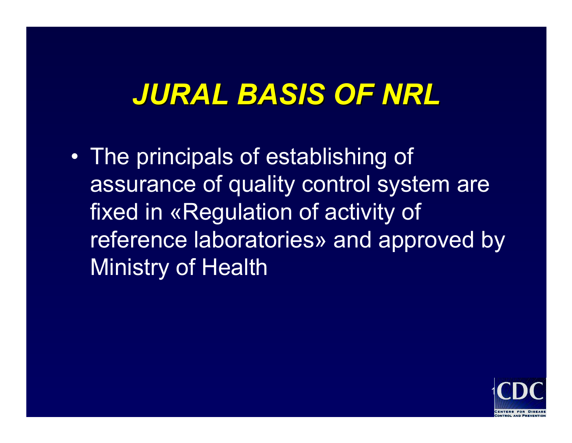# *JURAL BASIS OF NRL JURAL BASIS OF NRL*

 $\bullet$  The principals of establishing of assurance of quality control system are fixed in «Regulation of activity of reference laboratories» and approved by Ministry of Health

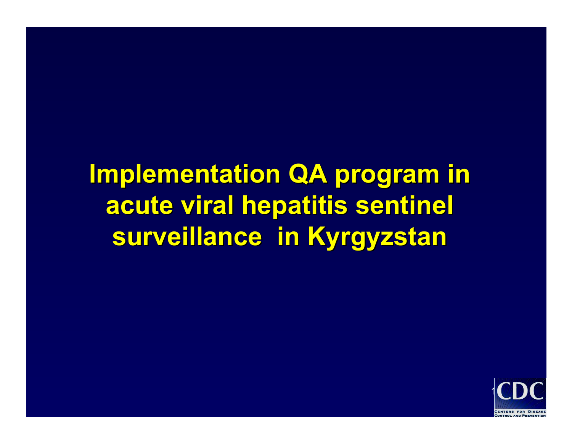**Implementation QA program in acute viral hepatitis sentinel acute viral hepatitis sentinel surveillance in Kyrgyzstan surveillance in Kyrgyzstan**

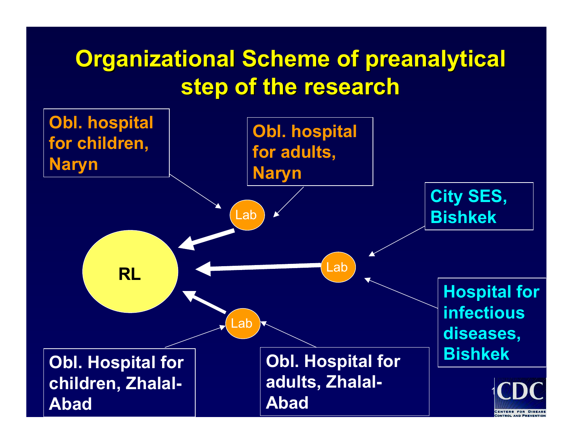# **Organizational Scheme of preanalytical step of the research step of the research**

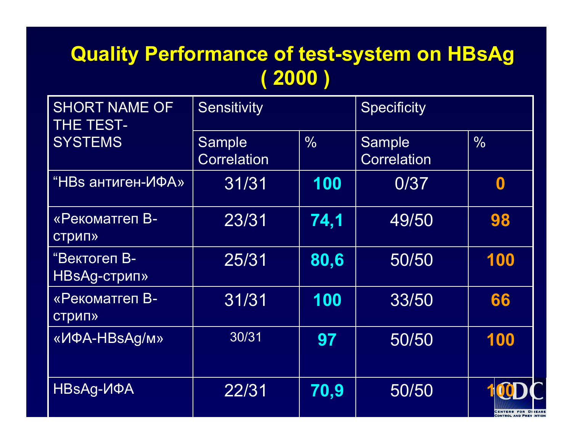#### **Quality Performance of test Quality Performance of test -system on system on HBsAg ( 2000 )**

| <b>SHORT NAME OF</b><br><b>THE TEST-</b> | <b>Sensitivity</b>           |               | Specificity                  |                            |
|------------------------------------------|------------------------------|---------------|------------------------------|----------------------------|
| <b>SYSTEMS</b>                           | Sample<br><b>Correlation</b> | $\frac{0}{0}$ | Sample<br><b>Correlation</b> | $\frac{0}{0}$              |
| "НВѕ антиген-ИФА»                        | 31/31                        | 100           | 0/37                         | 0                          |
| «Рекоматгеп В-<br><b>СТРИП»</b>          | 23/31                        | 74,1          | 49/50                        | 98                         |
| "Вектогеп В-<br>HBsAg-стрип»             | 25/31                        | 80,6          | 50/50                        | 100                        |
| «Рекоматгеп В-<br><b>СТРИП»</b>          | 31/31                        | 100           | 33/50                        | 66                         |
| «ИФА-HBsAg/м»                            | 30/31                        | 97            | 50/50                        | 100                        |
| HBsAg- <i>V</i> IOA                      | 22/31                        | 70,9          | 50/50                        | 100<br>CENTERS FOR DISEASE |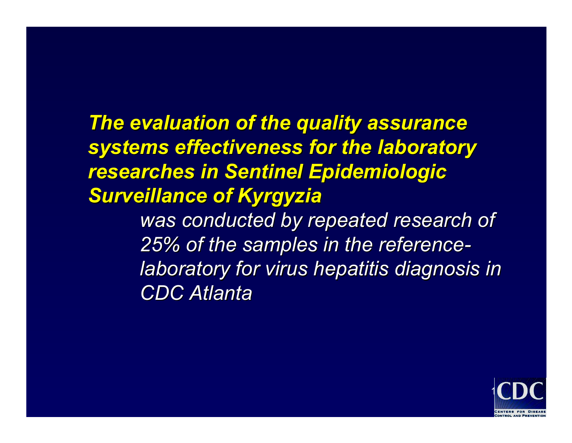#### **The evaluation of the quality assurance** *systems effectiveness for the laboratory systems effectiveness for the laboratory*  **researches in Sentinel Epidemiologic Surveillance of Kyrgyzia**

*was conducted by repeated research of was conducted by repeated research of 25% of the samples in the reference 25% of the samples in the reference laboratory for virus hepatitis diagnosis in laboratory for virus hepatitis diagnosis in CDC Atlanta CDC Atlanta* 

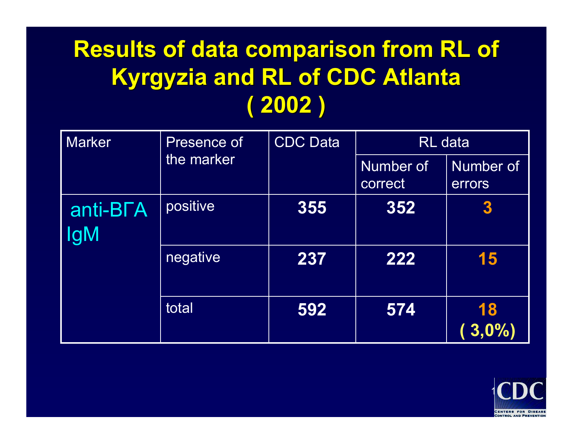| <b>Marker</b>                       | Presence of<br>the marker | <b>CDC</b> Data | <b>RL</b> data       |                     |
|-------------------------------------|---------------------------|-----------------|----------------------|---------------------|
|                                     |                           |                 | Number of<br>correct | Number of<br>errors |
| anti-B <sub>L</sub> A<br><b>IgM</b> | positive                  | 355             | 352                  | $\boldsymbol{3}$    |
|                                     | negative                  | 237             | 222                  | 15                  |
|                                     | total                     | 592             | 574                  | 18<br>3,0%          |

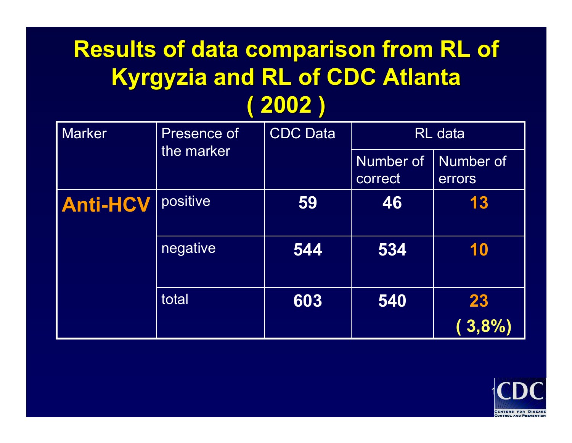| <b>Marker</b>   | Presence of<br>the marker | <b>CDC Data</b> | <b>RL</b> data       |                     |
|-----------------|---------------------------|-----------------|----------------------|---------------------|
|                 |                           |                 | Number of<br>correct | Number of<br>errors |
| <b>Anti-HCV</b> | positive                  | 59              | 46                   | 13                  |
|                 | negative                  | 544             | 534                  | 10                  |
|                 | total                     | 603             | 540                  | 23<br>3,8%          |

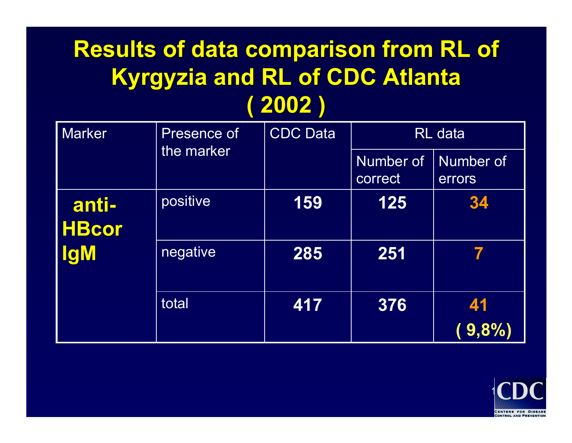| <b>Marker</b>         | Presence of<br>the marker | <b>CDC Data</b> | <b>RL</b> data       |                     |
|-----------------------|---------------------------|-----------------|----------------------|---------------------|
|                       |                           |                 | Number of<br>correct | Number of<br>errors |
| anti-<br><b>HBcor</b> | positive                  | 159             | 125                  | 34                  |
| <b>IgM</b>            | negative                  | 285             | 251                  | 7                   |
|                       | total                     | 417             | 376                  | 41                  |
|                       |                           |                 |                      | 9,8%                |

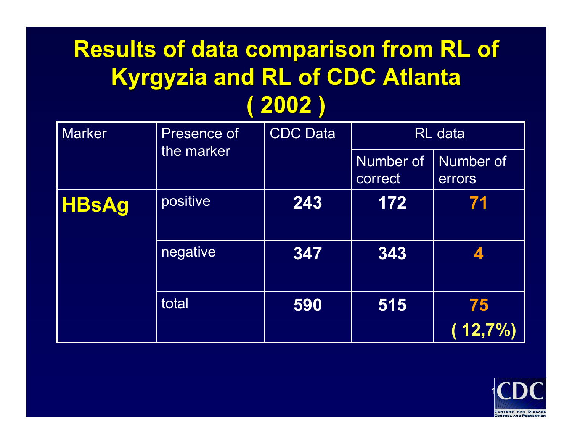| <b>Marker</b> | Presence of<br>the marker | <b>CDC Data</b> | <b>RL</b> data       |                     |
|---------------|---------------------------|-----------------|----------------------|---------------------|
|               |                           |                 | Number of<br>correct | Number of<br>errors |
| <b>HBsAg</b>  | positive                  | 243             | 172                  | 71                  |
|               | negative                  | 347             | 343                  | $\mathbf{Z}$        |
|               | total                     | 590             | 515                  | 75                  |
|               |                           |                 |                      | 12,7%               |

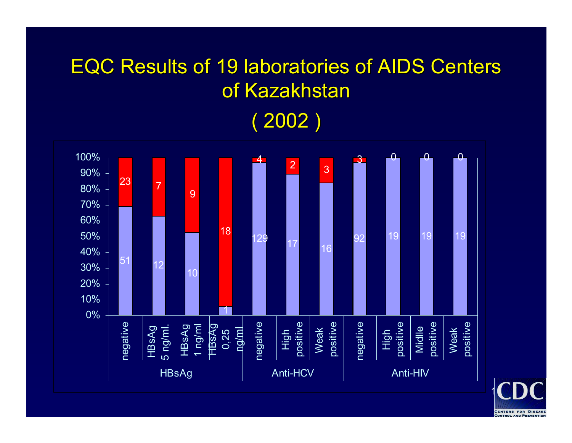### **EQC Results of 19 laboratories of AIDS Centers** of Kazakhstan ( 2002 )



19**CENTERS FOR DISEASE**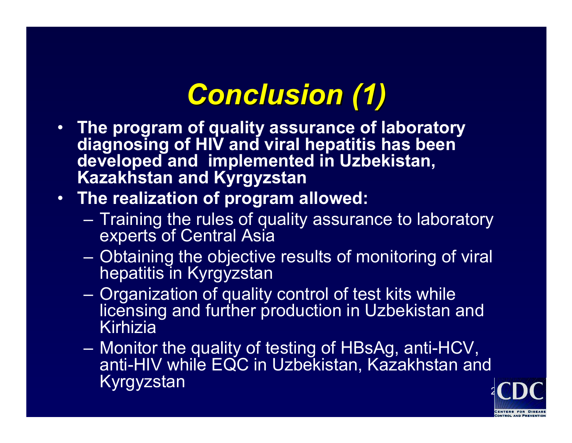# *Conclusion (1) Conclusion (1)*

- **The program of quality assurance of laboratory diagnosing of HIV and viral hepatitis has been developed and implemented in Uzbekistan, Kazakhstan and Kyrgyzstan**
- **The realization of program allowed:**
	- Training the rules of quality assurance to laboratory experts of Central Asia
	- Obtaining the objective results of monitoring of viral hepatitis in Kyrgyzstan
	- Organization of quality control of test kits while licensing and further production in Uzbekistan and Kirhizia
	- Monitor the quality of testing of HBsAg, anti-HCV, anti-HIV while EQC in Uzbekistan, Kazakhstan and Kyrgyzstan

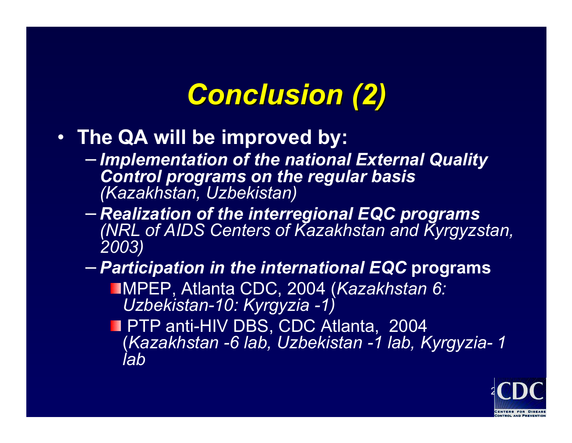# *Conclusion (2) Conclusion (2)*

- **The QA will be improved by:**
	- *Implementation of the national External Quality Control programs on the regular basis (Kazakhstan, Uzbekistan)*
	- *Realization of the interregional EQC programs (NRL of AIDS Centers of Kazakhstan and Kyrgyzstan, 2003)*
	- − *Participation in the international EQC* **programs** МPEP, Atlanta CDC, 2004 (*Kazakhstan 6:*
		- *Uzbekistan-10: Kyrgyzia -1)*
		- **PTP anti-HIV DBS, CDC Atlanta, 2004** (*Kazakhstan -6 lab, Uzbekistan -1 lab, Kyrgyzia-1 lab*